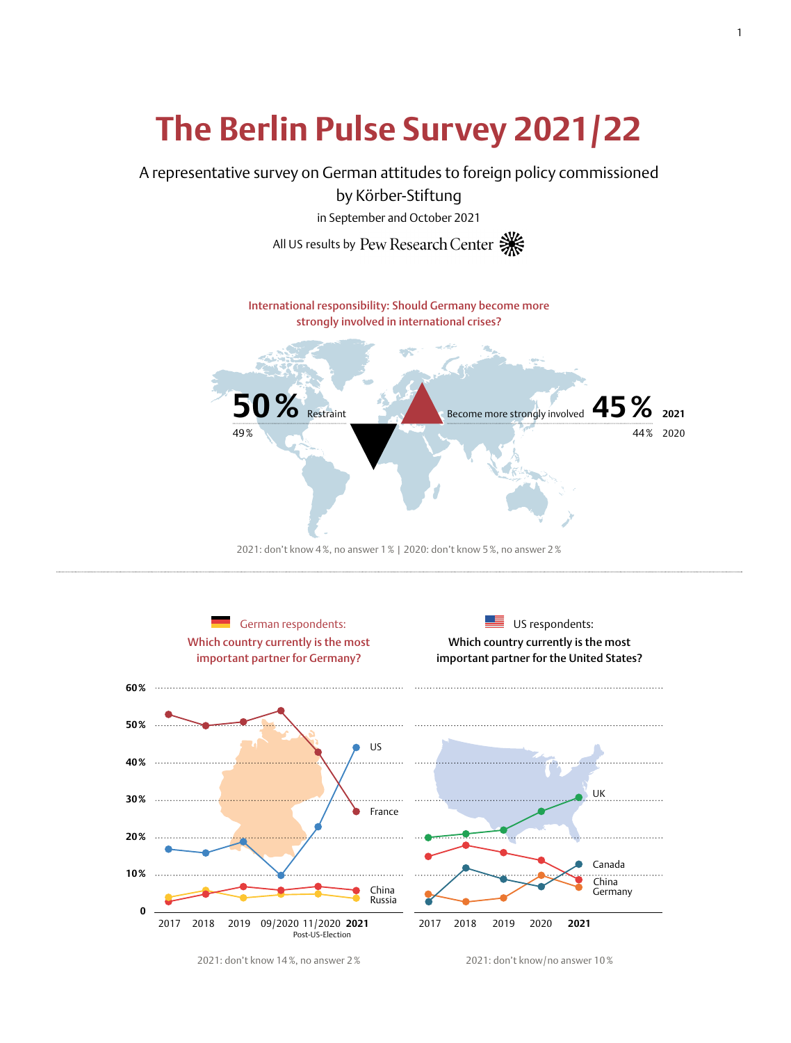# **The Berlin Pulse Survey 2021/22**

A representative survey on German attitudes to foreign policy commissioned

by Körber-Stiftung

in September and October 2021

All US results by Pew Research Center







2021: don't know 14%, no answer 2% 2021: don't know/no answer 10%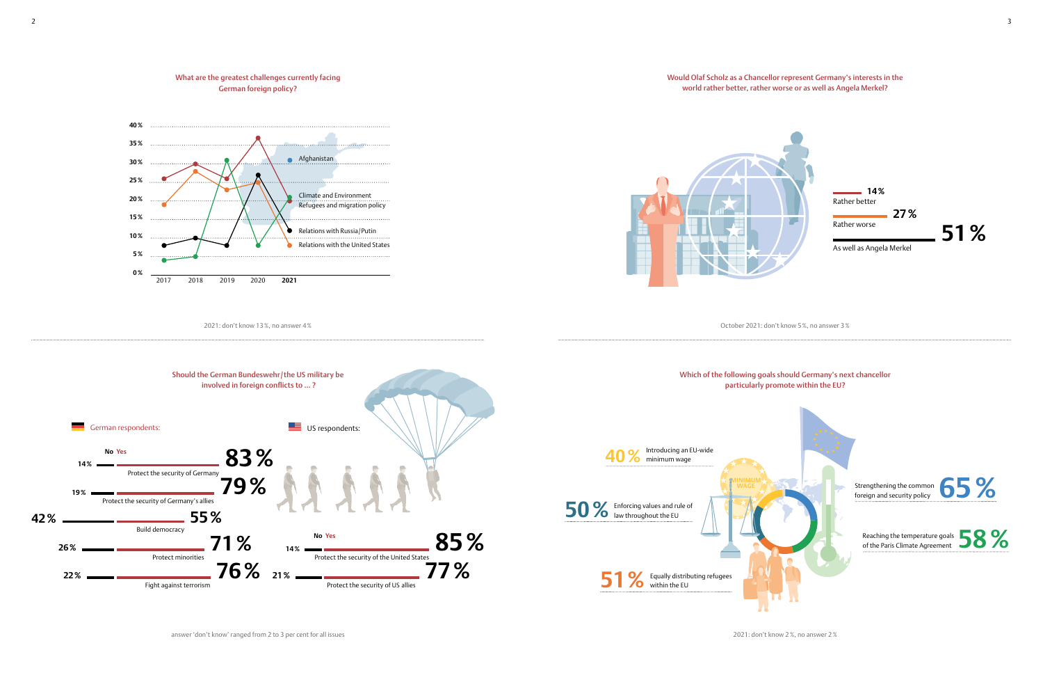



2021: don't know 2%, no answer 2%

Which of the following goals should Germany's next chancellor particularly promote within the EU?

Would Olaf Scholz as a Chancellor represent Germany's interests in the world rather better, rather worse or as well as Angela Merkel?



October 2021: don't know 5%, no answer 3%



answer 'don't know' ranged from 2 to 3 per cent for all issues

2 a set of the set of the set of the set of the set of the set of the set of the set of the set of the set of the set of the set of the set of the set of the set of the set of the set of the set of the set of the set of th

Rather better **14%**

Rather worse **27%**

As well as Angela Merkel

**51%**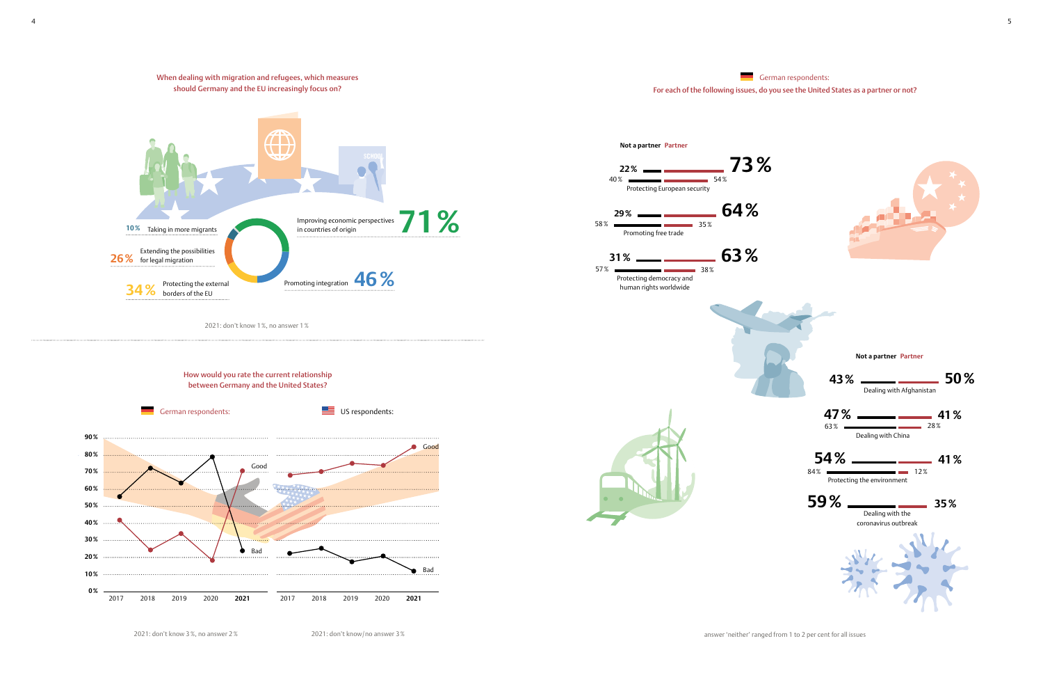How would you rate the current relationship between Germany and the United States?

2021: don't know 3%, no answer 2% 2021: don't know/no answer 3%



## German respondents: For each of the following issues, do you see the United States as a partner or not?





2021: don't know 1%, no answer 1%





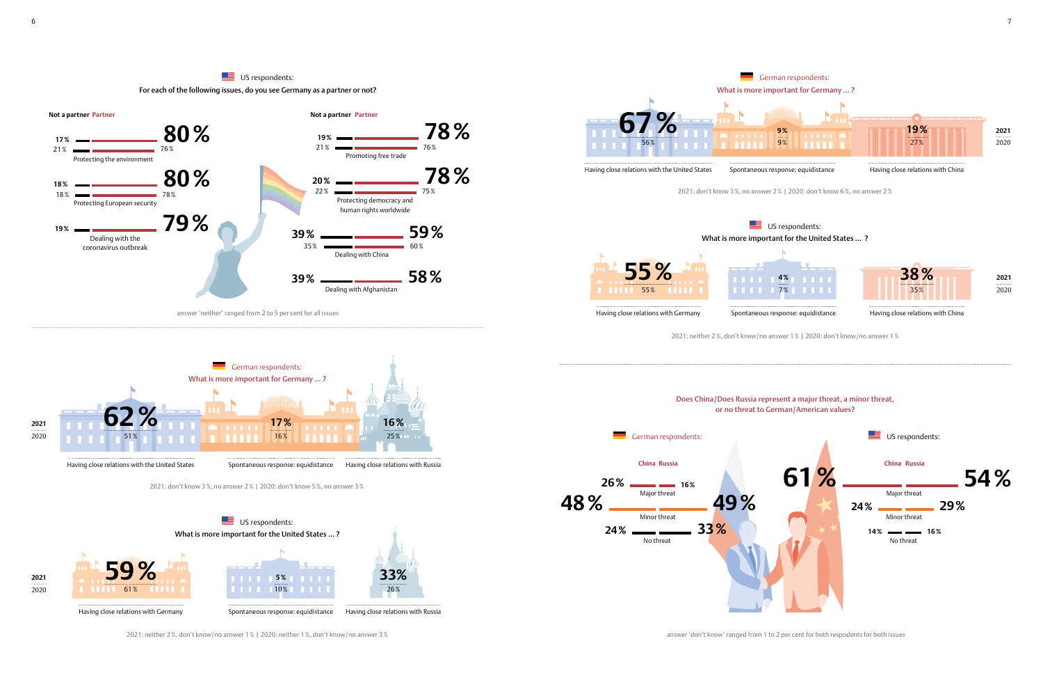



answer 'neither' ranged from 2 to 5 per cent for all issues

2021: neither 2%, don't know/no answer 1% | 2020: neither 1%, don't know/no answer 3%

Having close relations with Germany



Having close relations with Russia



Spontaneous response: equidistance



answer 'don't know' ranged from 1 to 2 per cent for both respodents for both issues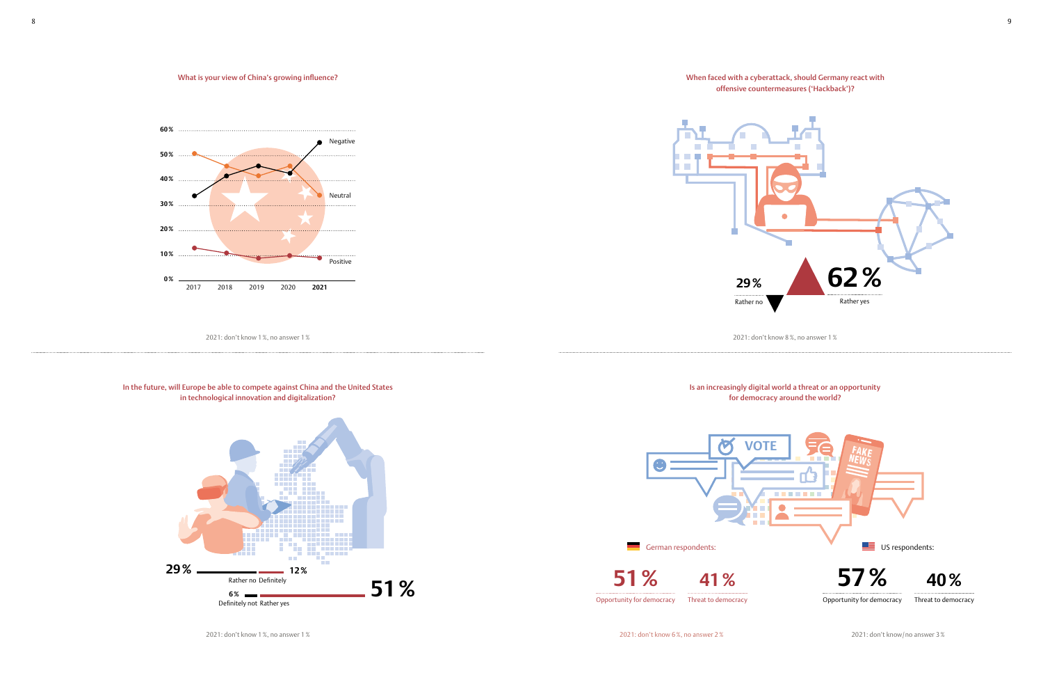

2021: don't know 8%, no answer 1%



2021: don't know/no answer 3%





### What is your view of China's growing influence?



2021: don't know 1%, no answer 1%

### In the future, will Europe be able to compete against China and the United States in technological innovation and digitalization?

2021: don't know 1%, no answer 1%

8 a viz Gregorian de Santon de la Gregorian de la Gregorian de la Gregoriana de la Gregoriana de la Gregoriana<br>De la Gregoriana de la Gregoriana de la Gregoriana de la Gregoriana de la Gregoriana de la Gregoriana de la Gr

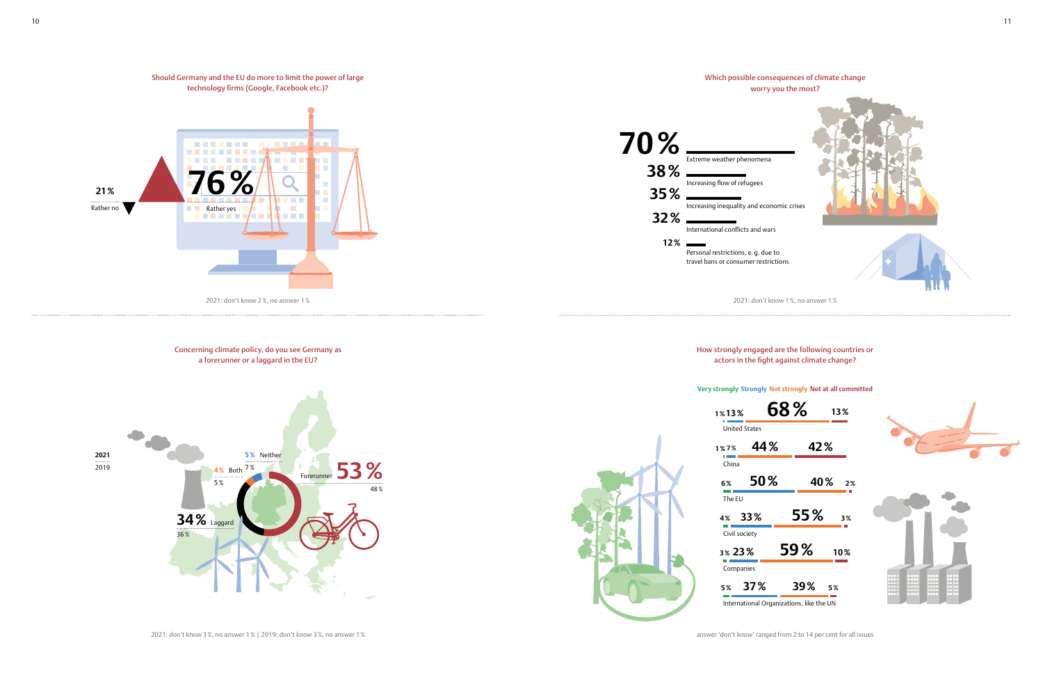2021: don't know 3%, no answer 1% | 2019: don't know 3%, no answer 1%





answer 'don't know' ranged from 2 to 14 per cent for all issues